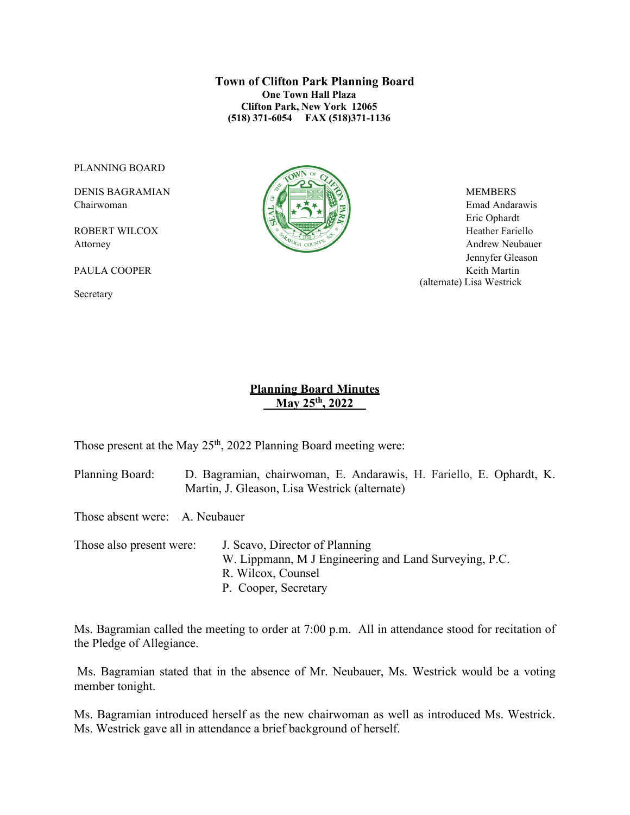**Town of Clifton Park Planning Board One Town Hall Plaza Clifton Park, New York 12065 (518) 371-6054 FAX (518)371-1136**

PLANNING BOARD

Secretary



 Eric Ophardt Attorney Andrew Neubauer Jennyfer Gleason PAULA COOPER Keith Martin (alternate) Lisa Westrick

### **Planning Board Minutes \_\_May 25th, 2022\_\_**

Those present at the May 25<sup>th</sup>, 2022 Planning Board meeting were:

Planning Board: D. Bagramian, chairwoman, E. Andarawis, H. Fariello, E. Ophardt, K. Martin, J. Gleason, Lisa Westrick (alternate)

Those absent were: A. Neubauer

Those also present were: J. Scavo, Director of Planning W. Lippmann, M J Engineering and Land Surveying, P.C. R. Wilcox, Counsel P. Cooper, Secretary

Ms. Bagramian called the meeting to order at 7:00 p.m. All in attendance stood for recitation of the Pledge of Allegiance.

Ms. Bagramian stated that in the absence of Mr. Neubauer, Ms. Westrick would be a voting member tonight.

Ms. Bagramian introduced herself as the new chairwoman as well as introduced Ms. Westrick. Ms. Westrick gave all in attendance a brief background of herself.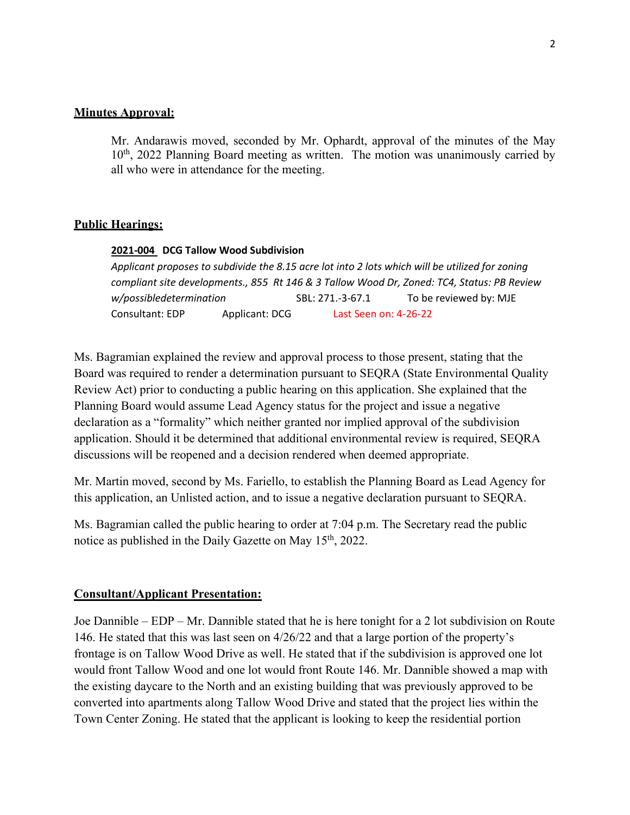### **Minutes Approval:**

Mr. Andarawis moved, seconded by Mr. Ophardt, approval of the minutes of the May 10<sup>th</sup>, 2022 Planning Board meeting as written. The motion was unanimously carried by all who were in attendance for the meeting.

### **Public Hearings:**

#### **2021-004 DCG Tallow Wood Subdivision**

*Applicant proposes to subdivide the 8.15 acre lot into 2 lots which will be utilized for zoning compliant site developments., 855 Rt 146 & 3 Tallow Wood Dr, Zoned: TC4, Status: PB Review w/possibledetermination* SBL: 271.-3-67.1 To be reviewed by: MJE Consultant: EDP Applicant: DCG Last Seen on: 4-26-22

Ms. Bagramian explained the review and approval process to those present, stating that the Board was required to render a determination pursuant to SEQRA (State Environmental Quality Review Act) prior to conducting a public hearing on this application. She explained that the Planning Board would assume Lead Agency status for the project and issue a negative declaration as a "formality" which neither granted nor implied approval of the subdivision application. Should it be determined that additional environmental review is required, SEQRA discussions will be reopened and a decision rendered when deemed appropriate.

Mr. Martin moved, second by Ms. Fariello, to establish the Planning Board as Lead Agency for this application, an Unlisted action, and to issue a negative declaration pursuant to SEQRA.

Ms. Bagramian called the public hearing to order at 7:04 p.m. The Secretary read the public notice as published in the Daily Gazette on May 15<sup>th</sup>, 2022.

#### **Consultant/Applicant Presentation:**

Joe Dannible – EDP – Mr. Dannible stated that he is here tonight for a 2 lot subdivision on Route 146. He stated that this was last seen on 4/26/22 and that a large portion of the property's frontage is on Tallow Wood Drive as well. He stated that if the subdivision is approved one lot would front Tallow Wood and one lot would front Route 146. Mr. Dannible showed a map with the existing daycare to the North and an existing building that was previously approved to be converted into apartments along Tallow Wood Drive and stated that the project lies within the Town Center Zoning. He stated that the applicant is looking to keep the residential portion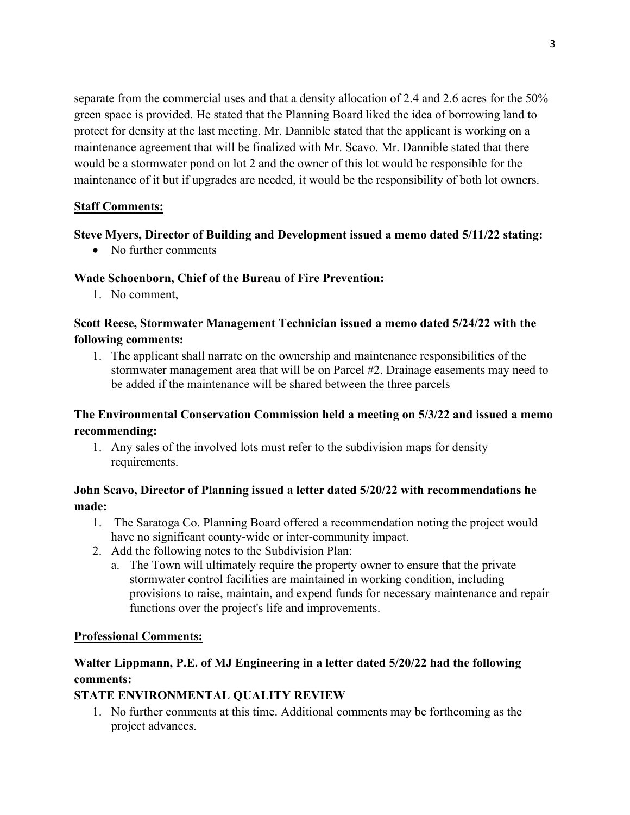separate from the commercial uses and that a density allocation of 2.4 and 2.6 acres for the 50% green space is provided. He stated that the Planning Board liked the idea of borrowing land to protect for density at the last meeting. Mr. Dannible stated that the applicant is working on a maintenance agreement that will be finalized with Mr. Scavo. Mr. Dannible stated that there would be a stormwater pond on lot 2 and the owner of this lot would be responsible for the maintenance of it but if upgrades are needed, it would be the responsibility of both lot owners.

## **Staff Comments:**

### **Steve Myers, Director of Building and Development issued a memo dated 5/11/22 stating:**

• No further comments

### **Wade Schoenborn, Chief of the Bureau of Fire Prevention:**

1. No comment,

## **Scott Reese, Stormwater Management Technician issued a memo dated 5/24/22 with the following comments:**

1. The applicant shall narrate on the ownership and maintenance responsibilities of the stormwater management area that will be on Parcel #2. Drainage easements may need to be added if the maintenance will be shared between the three parcels

# **The Environmental Conservation Commission held a meeting on 5/3/22 and issued a memo recommending:**

1. Any sales of the involved lots must refer to the subdivision maps for density requirements.

# **John Scavo, Director of Planning issued a letter dated 5/20/22 with recommendations he made:**

- 1. The Saratoga Co. Planning Board offered a recommendation noting the project would have no significant county-wide or inter-community impact.
- 2. Add the following notes to the Subdivision Plan:
	- a. The Town will ultimately require the property owner to ensure that the private stormwater control facilities are maintained in working condition, including provisions to raise, maintain, and expend funds for necessary maintenance and repair functions over the project's life and improvements.

### **Professional Comments:**

# **Walter Lippmann, P.E. of MJ Engineering in a letter dated 5/20/22 had the following comments:**

## **STATE ENVIRONMENTAL QUALITY REVIEW**

1. No further comments at this time. Additional comments may be forthcoming as the project advances.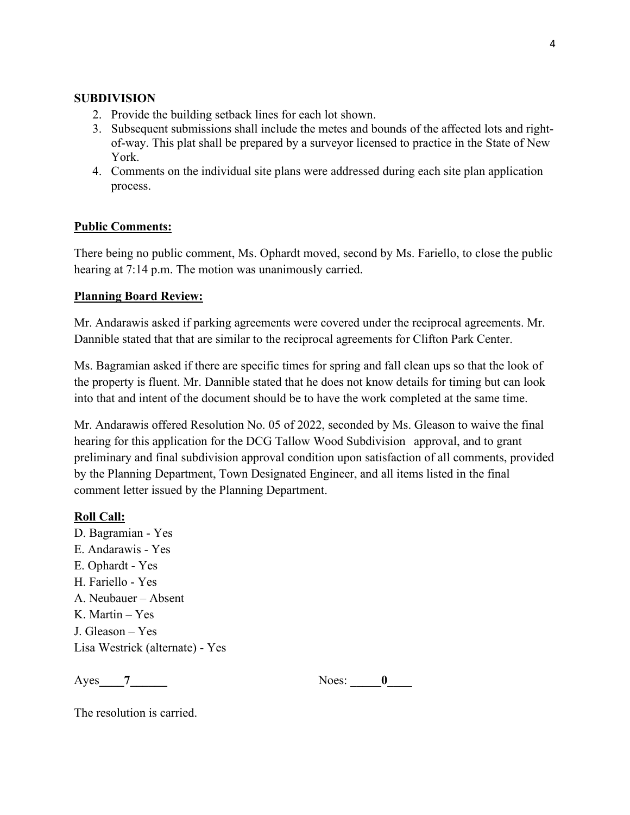### **SUBDIVISION**

- 2. Provide the building setback lines for each lot shown.
- 3. Subsequent submissions shall include the metes and bounds of the affected lots and rightof-way. This plat shall be prepared by a surveyor licensed to practice in the State of New York.
- 4. Comments on the individual site plans were addressed during each site plan application process.

### **Public Comments:**

There being no public comment, Ms. Ophardt moved, second by Ms. Fariello, to close the public hearing at 7:14 p.m. The motion was unanimously carried.

### **Planning Board Review:**

Mr. Andarawis asked if parking agreements were covered under the reciprocal agreements. Mr. Dannible stated that that are similar to the reciprocal agreements for Clifton Park Center.

Ms. Bagramian asked if there are specific times for spring and fall clean ups so that the look of the property is fluent. Mr. Dannible stated that he does not know details for timing but can look into that and intent of the document should be to have the work completed at the same time.

Mr. Andarawis offered Resolution No. 05 of 2022, seconded by Ms. Gleason to waive the final hearing for this application for the DCG Tallow Wood Subdivision approval, and to grant preliminary and final subdivision approval condition upon satisfaction of all comments, provided by the Planning Department, Town Designated Engineer, and all items listed in the final comment letter issued by the Planning Department.

### **Roll Call:**

D. Bagramian - Yes E. Andarawis - Yes E. Ophardt - Yes H. Fariello - Yes A. Neubauer – Absent K. Martin – Yes J. Gleason – Yes Lisa Westrick (alternate) - Yes

Ayes 7 Noes: 0

The resolution is carried.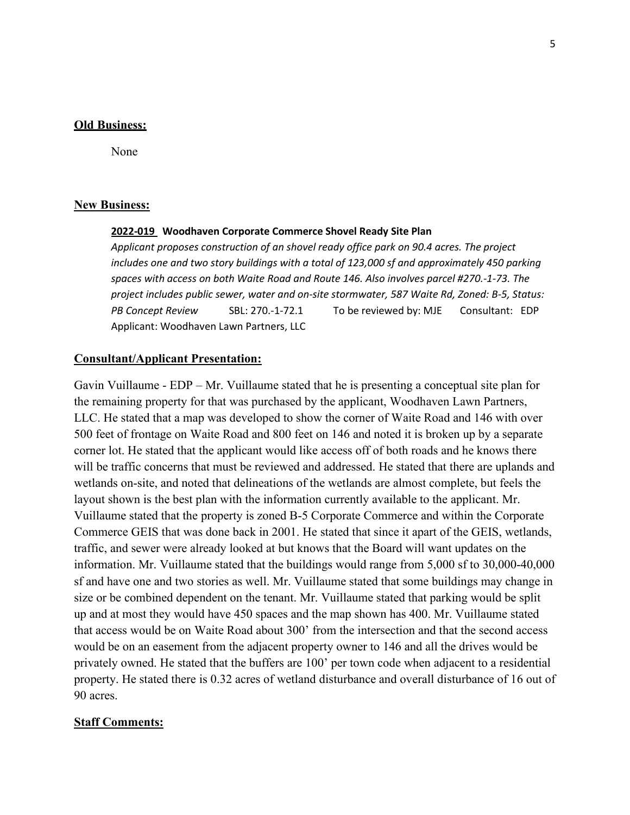#### **Old Business:**

None

#### **New Business:**

#### **2022-019 Woodhaven Corporate Commerce Shovel Ready Site Plan**

*Applicant proposes construction of an shovel ready office park on 90.4 acres. The project*  includes one and two story buildings with a total of 123,000 sf and approximately 450 parking *spaces with access on both Waite Road and Route 146. Also involves parcel #270.-1-73. The project includes public sewer, water and on-site stormwater, 587 Waite Rd, Zoned: B-5, Status: PB Concept Review* SBL: 270.-1-72.1 To be reviewed by: MJE Consultant: EDP Applicant: Woodhaven Lawn Partners, LLC

#### **Consultant/Applicant Presentation:**

Gavin Vuillaume - EDP – Mr. Vuillaume stated that he is presenting a conceptual site plan for the remaining property for that was purchased by the applicant, Woodhaven Lawn Partners, LLC. He stated that a map was developed to show the corner of Waite Road and 146 with over 500 feet of frontage on Waite Road and 800 feet on 146 and noted it is broken up by a separate corner lot. He stated that the applicant would like access off of both roads and he knows there will be traffic concerns that must be reviewed and addressed. He stated that there are uplands and wetlands on-site, and noted that delineations of the wetlands are almost complete, but feels the layout shown is the best plan with the information currently available to the applicant. Mr. Vuillaume stated that the property is zoned B-5 Corporate Commerce and within the Corporate Commerce GEIS that was done back in 2001. He stated that since it apart of the GEIS, wetlands, traffic, and sewer were already looked at but knows that the Board will want updates on the information. Mr. Vuillaume stated that the buildings would range from 5,000 sf to 30,000-40,000 sf and have one and two stories as well. Mr. Vuillaume stated that some buildings may change in size or be combined dependent on the tenant. Mr. Vuillaume stated that parking would be split up and at most they would have 450 spaces and the map shown has 400. Mr. Vuillaume stated that access would be on Waite Road about 300' from the intersection and that the second access would be on an easement from the adjacent property owner to 146 and all the drives would be privately owned. He stated that the buffers are 100' per town code when adjacent to a residential property. He stated there is 0.32 acres of wetland disturbance and overall disturbance of 16 out of 90 acres.

#### **Staff Comments:**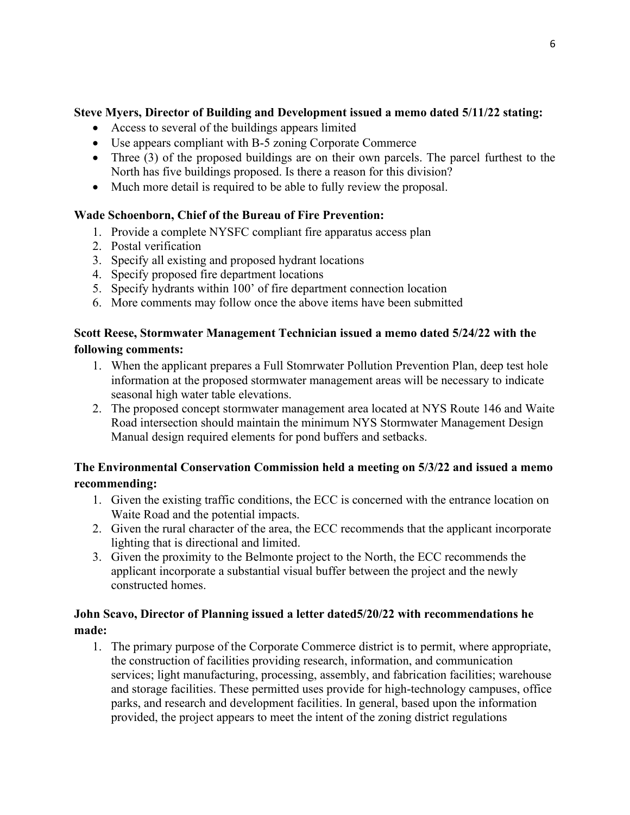# **Steve Myers, Director of Building and Development issued a memo dated 5/11/22 stating:**

- Access to several of the buildings appears limited
- Use appears compliant with B-5 zoning Corporate Commerce
- Three (3) of the proposed buildings are on their own parcels. The parcel furthest to the North has five buildings proposed. Is there a reason for this division?
- Much more detail is required to be able to fully review the proposal.

# **Wade Schoenborn, Chief of the Bureau of Fire Prevention:**

- 1. Provide a complete NYSFC compliant fire apparatus access plan
- 2. Postal verification
- 3. Specify all existing and proposed hydrant locations
- 4. Specify proposed fire department locations
- 5. Specify hydrants within 100' of fire department connection location
- 6. More comments may follow once the above items have been submitted

## **Scott Reese, Stormwater Management Technician issued a memo dated 5/24/22 with the following comments:**

- 1. When the applicant prepares a Full Stomrwater Pollution Prevention Plan, deep test hole information at the proposed stormwater management areas will be necessary to indicate seasonal high water table elevations.
- 2. The proposed concept stormwater management area located at NYS Route 146 and Waite Road intersection should maintain the minimum NYS Stormwater Management Design Manual design required elements for pond buffers and setbacks.

# **The Environmental Conservation Commission held a meeting on 5/3/22 and issued a memo recommending:**

- 1. Given the existing traffic conditions, the ECC is concerned with the entrance location on Waite Road and the potential impacts.
- 2. Given the rural character of the area, the ECC recommends that the applicant incorporate lighting that is directional and limited.
- 3. Given the proximity to the Belmonte project to the North, the ECC recommends the applicant incorporate a substantial visual buffer between the project and the newly constructed homes.

# **John Scavo, Director of Planning issued a letter dated5/20/22 with recommendations he made:**

1. The primary purpose of the Corporate Commerce district is to permit, where appropriate, the construction of facilities providing research, information, and communication services; light manufacturing, processing, assembly, and fabrication facilities; warehouse and storage facilities. These permitted uses provide for high-technology campuses, office parks, and research and development facilities. In general, based upon the information provided, the project appears to meet the intent of the zoning district regulations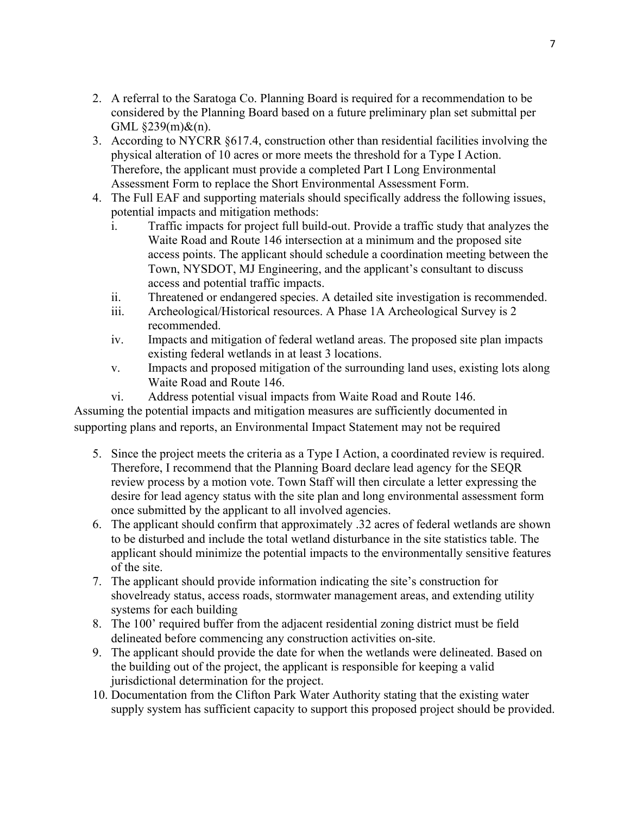- 2. A referral to the Saratoga Co. Planning Board is required for a recommendation to be considered by the Planning Board based on a future preliminary plan set submittal per GML §239(m)&(n).
- 3. According to NYCRR §617.4, construction other than residential facilities involving the physical alteration of 10 acres or more meets the threshold for a Type I Action. Therefore, the applicant must provide a completed Part I Long Environmental Assessment Form to replace the Short Environmental Assessment Form.
- 4. The Full EAF and supporting materials should specifically address the following issues, potential impacts and mitigation methods:
	- i. Traffic impacts for project full build-out. Provide a traffic study that analyzes the Waite Road and Route 146 intersection at a minimum and the proposed site access points. The applicant should schedule a coordination meeting between the Town, NYSDOT, MJ Engineering, and the applicant's consultant to discuss access and potential traffic impacts.
	- ii. Threatened or endangered species. A detailed site investigation is recommended.
	- iii. Archeological/Historical resources. A Phase 1A Archeological Survey is 2 recommended.
	- iv. Impacts and mitigation of federal wetland areas. The proposed site plan impacts existing federal wetlands in at least 3 locations.
	- v. Impacts and proposed mitigation of the surrounding land uses, existing lots along Waite Road and Route 146.
	- vi. Address potential visual impacts from Waite Road and Route 146.

Assuming the potential impacts and mitigation measures are sufficiently documented in supporting plans and reports, an Environmental Impact Statement may not be required

- 5. Since the project meets the criteria as a Type I Action, a coordinated review is required. Therefore, I recommend that the Planning Board declare lead agency for the SEQR review process by a motion vote. Town Staff will then circulate a letter expressing the desire for lead agency status with the site plan and long environmental assessment form once submitted by the applicant to all involved agencies.
- 6. The applicant should confirm that approximately .32 acres of federal wetlands are shown to be disturbed and include the total wetland disturbance in the site statistics table. The applicant should minimize the potential impacts to the environmentally sensitive features of the site.
- 7. The applicant should provide information indicating the site's construction for shovelready status, access roads, stormwater management areas, and extending utility systems for each building
- 8. The 100' required buffer from the adjacent residential zoning district must be field delineated before commencing any construction activities on-site.
- 9. The applicant should provide the date for when the wetlands were delineated. Based on the building out of the project, the applicant is responsible for keeping a valid jurisdictional determination for the project.
- 10. Documentation from the Clifton Park Water Authority stating that the existing water supply system has sufficient capacity to support this proposed project should be provided.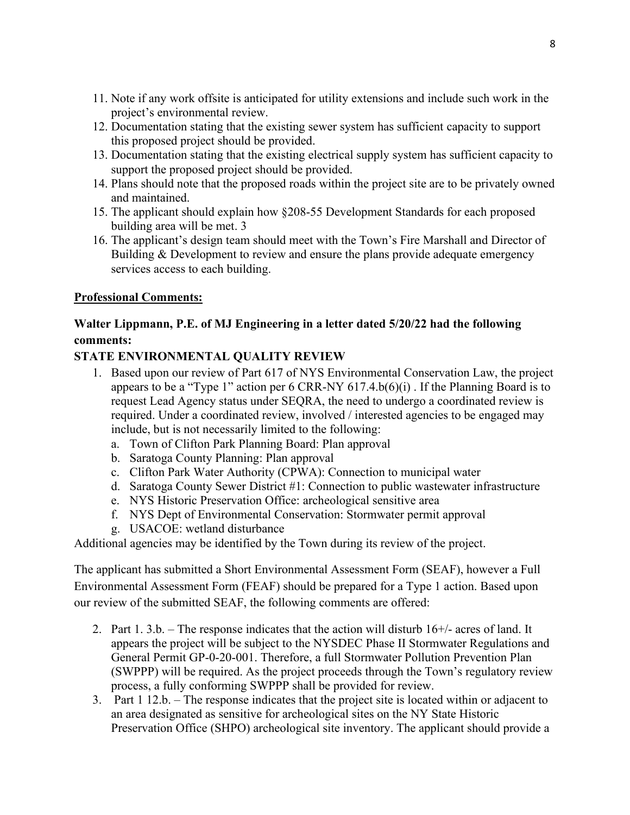- 11. Note if any work offsite is anticipated for utility extensions and include such work in the project's environmental review.
- 12. Documentation stating that the existing sewer system has sufficient capacity to support this proposed project should be provided.
- 13. Documentation stating that the existing electrical supply system has sufficient capacity to support the proposed project should be provided.
- 14. Plans should note that the proposed roads within the project site are to be privately owned and maintained.
- 15. The applicant should explain how §208-55 Development Standards for each proposed building area will be met. 3
- 16. The applicant's design team should meet with the Town's Fire Marshall and Director of Building & Development to review and ensure the plans provide adequate emergency services access to each building.

## **Professional Comments:**

# **Walter Lippmann, P.E. of MJ Engineering in a letter dated 5/20/22 had the following comments:**

# **STATE ENVIRONMENTAL QUALITY REVIEW**

- 1. Based upon our review of Part 617 of NYS Environmental Conservation Law, the project appears to be a "Type 1" action per  $6 \text{ CRR-NY } 617.4 \text{ b}(6)(i)$ . If the Planning Board is to request Lead Agency status under SEQRA, the need to undergo a coordinated review is required. Under a coordinated review, involved / interested agencies to be engaged may include, but is not necessarily limited to the following:
	- a. Town of Clifton Park Planning Board: Plan approval
	- b. Saratoga County Planning: Plan approval
	- c. Clifton Park Water Authority (CPWA): Connection to municipal water
	- d. Saratoga County Sewer District #1: Connection to public wastewater infrastructure
	- e. NYS Historic Preservation Office: archeological sensitive area
	- f. NYS Dept of Environmental Conservation: Stormwater permit approval
	- g. USACOE: wetland disturbance

Additional agencies may be identified by the Town during its review of the project.

The applicant has submitted a Short Environmental Assessment Form (SEAF), however a Full Environmental Assessment Form (FEAF) should be prepared for a Type 1 action. Based upon our review of the submitted SEAF, the following comments are offered:

- 2. Part 1. 3.b. The response indicates that the action will disturb 16+/- acres of land. It appears the project will be subject to the NYSDEC Phase II Stormwater Regulations and General Permit GP-0-20-001. Therefore, a full Stormwater Pollution Prevention Plan (SWPPP) will be required. As the project proceeds through the Town's regulatory review process, a fully conforming SWPPP shall be provided for review.
- 3. Part 1 12.b. The response indicates that the project site is located within or adjacent to an area designated as sensitive for archeological sites on the NY State Historic Preservation Office (SHPO) archeological site inventory. The applicant should provide a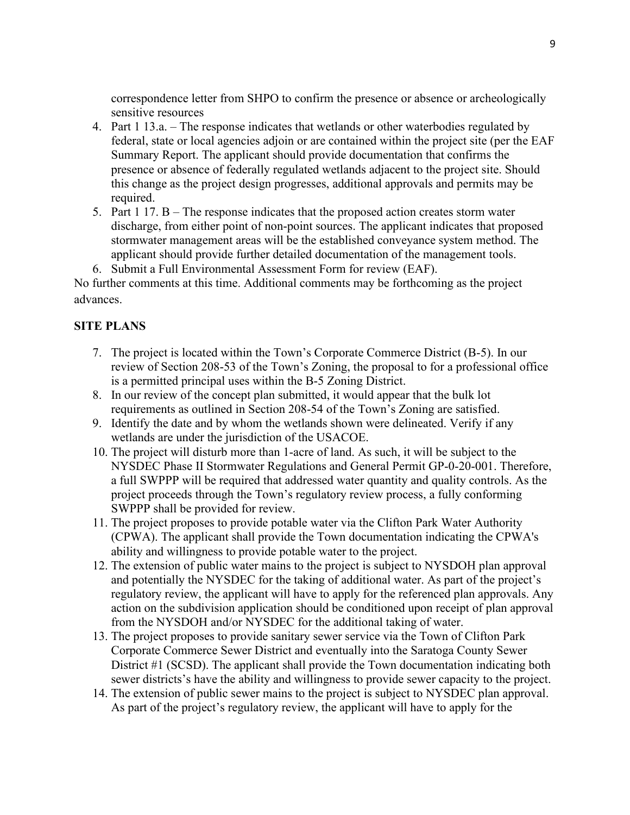correspondence letter from SHPO to confirm the presence or absence or archeologically sensitive resources

- 4. Part 1 13.a. The response indicates that wetlands or other waterbodies regulated by federal, state or local agencies adjoin or are contained within the project site (per the EAF Summary Report. The applicant should provide documentation that confirms the presence or absence of federally regulated wetlands adjacent to the project site. Should this change as the project design progresses, additional approvals and permits may be required.
- 5. Part 1 17. B The response indicates that the proposed action creates storm water discharge, from either point of non-point sources. The applicant indicates that proposed stormwater management areas will be the established conveyance system method. The applicant should provide further detailed documentation of the management tools.
- 6. Submit a Full Environmental Assessment Form for review (EAF).

No further comments at this time. Additional comments may be forthcoming as the project advances.

### **SITE PLANS**

- 7. The project is located within the Town's Corporate Commerce District (B-5). In our review of Section 208-53 of the Town's Zoning, the proposal to for a professional office is a permitted principal uses within the B-5 Zoning District.
- 8. In our review of the concept plan submitted, it would appear that the bulk lot requirements as outlined in Section 208-54 of the Town's Zoning are satisfied.
- 9. Identify the date and by whom the wetlands shown were delineated. Verify if any wetlands are under the jurisdiction of the USACOE.
- 10. The project will disturb more than 1-acre of land. As such, it will be subject to the NYSDEC Phase II Stormwater Regulations and General Permit GP-0-20-001. Therefore, a full SWPPP will be required that addressed water quantity and quality controls. As the project proceeds through the Town's regulatory review process, a fully conforming SWPPP shall be provided for review.
- 11. The project proposes to provide potable water via the Clifton Park Water Authority (CPWA). The applicant shall provide the Town documentation indicating the CPWA's ability and willingness to provide potable water to the project.
- 12. The extension of public water mains to the project is subject to NYSDOH plan approval and potentially the NYSDEC for the taking of additional water. As part of the project's regulatory review, the applicant will have to apply for the referenced plan approvals. Any action on the subdivision application should be conditioned upon receipt of plan approval from the NYSDOH and/or NYSDEC for the additional taking of water.
- 13. The project proposes to provide sanitary sewer service via the Town of Clifton Park Corporate Commerce Sewer District and eventually into the Saratoga County Sewer District #1 (SCSD). The applicant shall provide the Town documentation indicating both sewer districts's have the ability and willingness to provide sewer capacity to the project.
- 14. The extension of public sewer mains to the project is subject to NYSDEC plan approval. As part of the project's regulatory review, the applicant will have to apply for the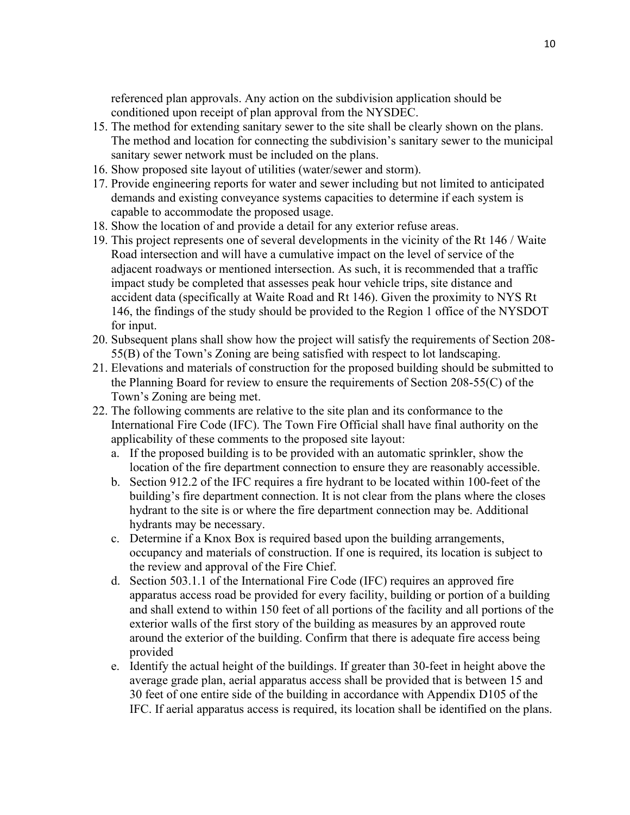referenced plan approvals. Any action on the subdivision application should be conditioned upon receipt of plan approval from the NYSDEC.

- 15. The method for extending sanitary sewer to the site shall be clearly shown on the plans. The method and location for connecting the subdivision's sanitary sewer to the municipal sanitary sewer network must be included on the plans.
- 16. Show proposed site layout of utilities (water/sewer and storm).
- 17. Provide engineering reports for water and sewer including but not limited to anticipated demands and existing conveyance systems capacities to determine if each system is capable to accommodate the proposed usage.
- 18. Show the location of and provide a detail for any exterior refuse areas.
- 19. This project represents one of several developments in the vicinity of the Rt 146 / Waite Road intersection and will have a cumulative impact on the level of service of the adjacent roadways or mentioned intersection. As such, it is recommended that a traffic impact study be completed that assesses peak hour vehicle trips, site distance and accident data (specifically at Waite Road and Rt 146). Given the proximity to NYS Rt 146, the findings of the study should be provided to the Region 1 office of the NYSDOT for input.
- 20. Subsequent plans shall show how the project will satisfy the requirements of Section 208- 55(B) of the Town's Zoning are being satisfied with respect to lot landscaping.
- 21. Elevations and materials of construction for the proposed building should be submitted to the Planning Board for review to ensure the requirements of Section 208-55(C) of the Town's Zoning are being met.
- 22. The following comments are relative to the site plan and its conformance to the International Fire Code (IFC). The Town Fire Official shall have final authority on the applicability of these comments to the proposed site layout:
	- a. If the proposed building is to be provided with an automatic sprinkler, show the location of the fire department connection to ensure they are reasonably accessible.
	- b. Section 912.2 of the IFC requires a fire hydrant to be located within 100-feet of the building's fire department connection. It is not clear from the plans where the closes hydrant to the site is or where the fire department connection may be. Additional hydrants may be necessary.
	- c. Determine if a Knox Box is required based upon the building arrangements, occupancy and materials of construction. If one is required, its location is subject to the review and approval of the Fire Chief.
	- d. Section 503.1.1 of the International Fire Code (IFC) requires an approved fire apparatus access road be provided for every facility, building or portion of a building and shall extend to within 150 feet of all portions of the facility and all portions of the exterior walls of the first story of the building as measures by an approved route around the exterior of the building. Confirm that there is adequate fire access being provided
	- e. Identify the actual height of the buildings. If greater than 30-feet in height above the average grade plan, aerial apparatus access shall be provided that is between 15 and 30 feet of one entire side of the building in accordance with Appendix D105 of the IFC. If aerial apparatus access is required, its location shall be identified on the plans.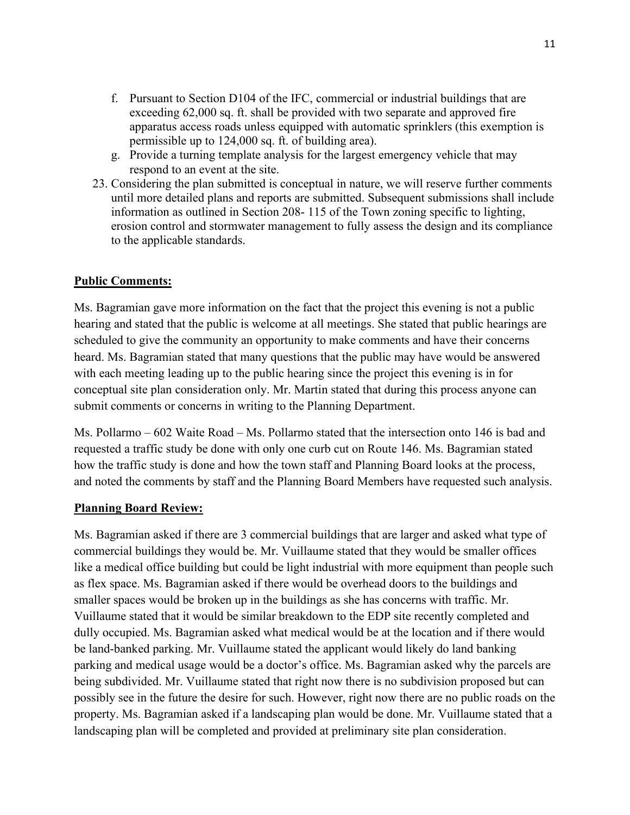- f. Pursuant to Section D104 of the IFC, commercial or industrial buildings that are exceeding 62,000 sq. ft. shall be provided with two separate and approved fire apparatus access roads unless equipped with automatic sprinklers (this exemption is permissible up to 124,000 sq. ft. of building area).
- g. Provide a turning template analysis for the largest emergency vehicle that may respond to an event at the site.
- 23. Considering the plan submitted is conceptual in nature, we will reserve further comments until more detailed plans and reports are submitted. Subsequent submissions shall include information as outlined in Section 208- 115 of the Town zoning specific to lighting, erosion control and stormwater management to fully assess the design and its compliance to the applicable standards.

### **Public Comments:**

Ms. Bagramian gave more information on the fact that the project this evening is not a public hearing and stated that the public is welcome at all meetings. She stated that public hearings are scheduled to give the community an opportunity to make comments and have their concerns heard. Ms. Bagramian stated that many questions that the public may have would be answered with each meeting leading up to the public hearing since the project this evening is in for conceptual site plan consideration only. Mr. Martin stated that during this process anyone can submit comments or concerns in writing to the Planning Department.

Ms. Pollarmo – 602 Waite Road – Ms. Pollarmo stated that the intersection onto 146 is bad and requested a traffic study be done with only one curb cut on Route 146. Ms. Bagramian stated how the traffic study is done and how the town staff and Planning Board looks at the process, and noted the comments by staff and the Planning Board Members have requested such analysis.

### **Planning Board Review:**

Ms. Bagramian asked if there are 3 commercial buildings that are larger and asked what type of commercial buildings they would be. Mr. Vuillaume stated that they would be smaller offices like a medical office building but could be light industrial with more equipment than people such as flex space. Ms. Bagramian asked if there would be overhead doors to the buildings and smaller spaces would be broken up in the buildings as she has concerns with traffic. Mr. Vuillaume stated that it would be similar breakdown to the EDP site recently completed and dully occupied. Ms. Bagramian asked what medical would be at the location and if there would be land-banked parking. Mr. Vuillaume stated the applicant would likely do land banking parking and medical usage would be a doctor's office. Ms. Bagramian asked why the parcels are being subdivided. Mr. Vuillaume stated that right now there is no subdivision proposed but can possibly see in the future the desire for such. However, right now there are no public roads on the property. Ms. Bagramian asked if a landscaping plan would be done. Mr. Vuillaume stated that a landscaping plan will be completed and provided at preliminary site plan consideration.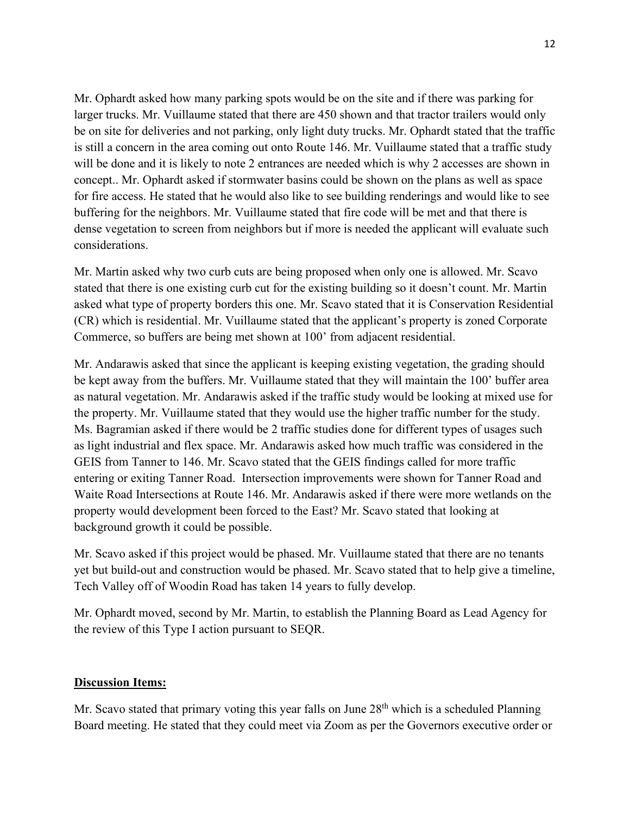Mr. Ophardt asked how many parking spots would be on the site and if there was parking for larger trucks. Mr. Vuillaume stated that there are 450 shown and that tractor trailers would only be on site for deliveries and not parking, only light duty trucks. Mr. Ophardt stated that the traffic is still a concern in the area coming out onto Route 146. Mr. Vuillaume stated that a traffic study will be done and it is likely to note 2 entrances are needed which is why 2 accesses are shown in concept.. Mr. Ophardt asked if stormwater basins could be shown on the plans as well as space for fire access. He stated that he would also like to see building renderings and would like to see buffering for the neighbors. Mr. Vuillaume stated that fire code will be met and that there is dense vegetation to screen from neighbors but if more is needed the applicant will evaluate such considerations.

Mr. Martin asked why two curb cuts are being proposed when only one is allowed. Mr. Scavo stated that there is one existing curb cut for the existing building so it doesn't count. Mr. Martin asked what type of property borders this one. Mr. Scavo stated that it is Conservation Residential (CR) which is residential. Mr. Vuillaume stated that the applicant's property is zoned Corporate Commerce, so buffers are being met shown at 100' from adjacent residential.

Mr. Andarawis asked that since the applicant is keeping existing vegetation, the grading should be kept away from the buffers. Mr. Vuillaume stated that they will maintain the 100' buffer area as natural vegetation. Mr. Andarawis asked if the traffic study would be looking at mixed use for the property. Mr. Vuillaume stated that they would use the higher traffic number for the study. Ms. Bagramian asked if there would be 2 traffic studies done for different types of usages such as light industrial and flex space. Mr. Andarawis asked how much traffic was considered in the GEIS from Tanner to 146. Mr. Scavo stated that the GEIS findings called for more traffic entering or exiting Tanner Road. Intersection improvements were shown for Tanner Road and Waite Road Intersections at Route 146. Mr. Andarawis asked if there were more wetlands on the property would development been forced to the East? Mr. Scavo stated that looking at background growth it could be possible.

Mr. Scavo asked if this project would be phased. Mr. Vuillaume stated that there are no tenants yet but build-out and construction would be phased. Mr. Scavo stated that to help give a timeline, Tech Valley off of Woodin Road has taken 14 years to fully develop.

Mr. Ophardt moved, second by Mr. Martin, to establish the Planning Board as Lead Agency for the review of this Type I action pursuant to SEQR.

### **Discussion Items:**

Mr. Scavo stated that primary voting this year falls on June 28<sup>th</sup> which is a scheduled Planning Board meeting. He stated that they could meet via Zoom as per the Governors executive order or